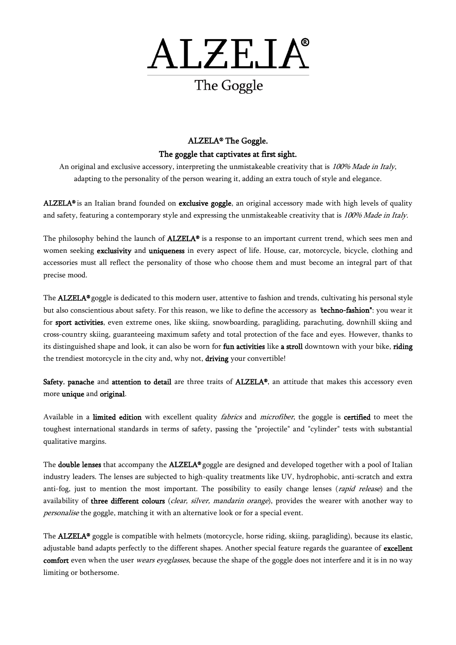

## ALZELA® The Goggle. The goggle that captivates at first sight.

An original and exclusive accessory, interpreting the unmistakeable creativity that is 100% Made in Italy, adapting to the personality of the person wearing it, adding an extra touch of style and elegance.

<code>ALZELA®</code> is an Italian brand founded on <code>exclusive</code> goggle, an original accessory made with high levels of quality and safety, featuring a contemporary style and expressing the unmistakeable creativity that is 100% Made in Italy.

The philosophy behind the launch of  $ALZELA<sup>®</sup>$  is a response to an important current trend, which sees men and women seeking exclusivity and uniqueness in every aspect of life. House, car, motorcycle, bicycle, clothing and accessories must all reflect the personality of those who choose them and must become an integral part of that precise mood.

The ALZELA® goggle is dedicated to this modern user, attentive to fashion and trends, cultivating his personal style but also conscientious about safety. For this reason, we like to define the accessory as "techno-fashion": you wear it for sport activities, even extreme ones, like skiing, snowboarding, paragliding, parachuting, downhill skiing and cross-country skiing, guaranteeing maximum safety and total protection of the face and eyes. However, thanks to its distinguished shape and look, it can also be worn for fun activities like a stroll downtown with your bike, riding the trendiest motorcycle in the city and, why not, driving your convertible!

Safety, panache and attention to detail are three traits of ALZELA®, an attitude that makes this accessory even more unique and original.

Available in a limited edition with excellent quality *fabrics* and *microfiber*, the goggle is **certified** to meet the toughest international standards in terms of safety, passing the "projectile" and "cylinder" tests with substantial qualitative margins.

The **double lenses** that accompany the **ALZELA®** goggle are designed and developed together with a pool of Italian industry leaders. The lenses are subjected to high-quality treatments like UV, hydrophobic, anti-scratch and extra anti-fog, just to mention the most important. The possibility to easily change lenses (rapid release) and the availability of three different colours (clear, silver, mandarin orange), provides the wearer with another way to personalise the goggle, matching it with an alternative look or for a special event.

The ALZELA® goggle is compatible with helmets (motorcycle, horse riding, skiing, paragliding), because its elastic, adjustable band adapts perfectly to the different shapes. Another special feature regards the guarantee of excellent comfort even when the user *wears eyeglasses*, because the shape of the goggle does not interfere and it is in no way limiting or bothersome.